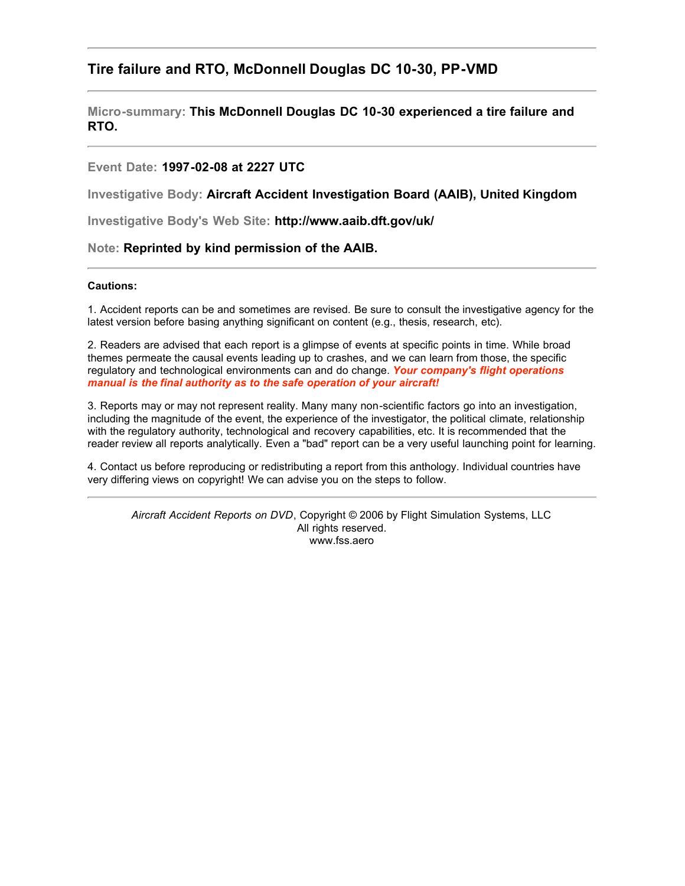# **Tire failure and RTO, McDonnell Douglas DC 10-30, PP-VMD**

**Micro-summary: This McDonnell Douglas DC 10-30 experienced a tire failure and RTO.**

### **Event Date: 1997-02-08 at 2227 UTC**

**Investigative Body: Aircraft Accident Investigation Board (AAIB), United Kingdom**

**Investigative Body's Web Site: http://www.aaib.dft.gov/uk/**

#### **Note: Reprinted by kind permission of the AAIB.**

#### **Cautions:**

1. Accident reports can be and sometimes are revised. Be sure to consult the investigative agency for the latest version before basing anything significant on content (e.g., thesis, research, etc).

2. Readers are advised that each report is a glimpse of events at specific points in time. While broad themes permeate the causal events leading up to crashes, and we can learn from those, the specific regulatory and technological environments can and do change. *Your company's flight operations manual is the final authority as to the safe operation of your aircraft!*

3. Reports may or may not represent reality. Many many non-scientific factors go into an investigation, including the magnitude of the event, the experience of the investigator, the political climate, relationship with the regulatory authority, technological and recovery capabilities, etc. It is recommended that the reader review all reports analytically. Even a "bad" report can be a very useful launching point for learning.

4. Contact us before reproducing or redistributing a report from this anthology. Individual countries have very differing views on copyright! We can advise you on the steps to follow.

*Aircraft Accident Reports on DVD*, Copyright © 2006 by Flight Simulation Systems, LLC All rights reserved. www.fss.aero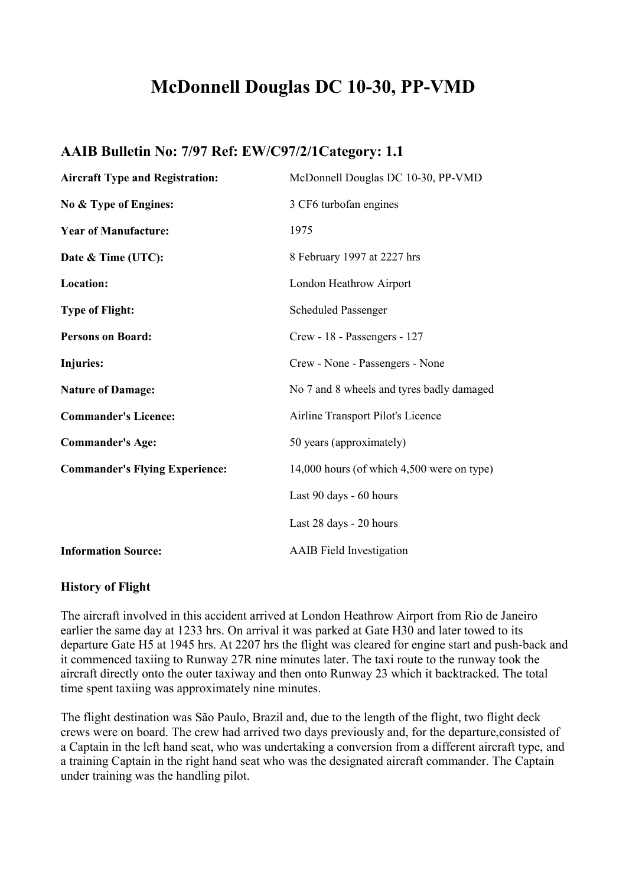# **McDonnell Douglas DC 10-30, PP-VMD**

# **AAIB Bulletin No: 7/97 Ref: EW/C97/2/1Category: 1.1**

| <b>Aircraft Type and Registration:</b> | McDonnell Douglas DC 10-30, PP-VMD         |
|----------------------------------------|--------------------------------------------|
| No & Type of Engines:                  | 3 CF6 turbofan engines                     |
| <b>Year of Manufacture:</b>            | 1975                                       |
| Date & Time (UTC):                     | 8 February 1997 at 2227 hrs                |
| Location:                              | London Heathrow Airport                    |
| <b>Type of Flight:</b>                 | <b>Scheduled Passenger</b>                 |
| <b>Persons on Board:</b>               | Crew - 18 - Passengers - 127               |
| <b>Injuries:</b>                       | Crew - None - Passengers - None            |
| <b>Nature of Damage:</b>               | No 7 and 8 wheels and tyres badly damaged  |
| <b>Commander's Licence:</b>            | Airline Transport Pilot's Licence          |
| <b>Commander's Age:</b>                | 50 years (approximately)                   |
| <b>Commander's Flying Experience:</b>  | 14,000 hours (of which 4,500 were on type) |
|                                        | Last 90 days - 60 hours                    |
|                                        | Last 28 days - 20 hours                    |
| <b>Information Source:</b>             | <b>AAIB</b> Field Investigation            |

# **History of Flight**

The aircraft involved in this accident arrived at London Heathrow Airport from Rio de Janeiro earlier the same day at 1233 hrs. On arrival it was parked at Gate H30 and later towed to its departure Gate H5 at 1945 hrs. At 2207 hrs the flight was cleared for engine start and push-back and it commenced taxiing to Runway 27R nine minutes later. The taxi route to the runway took the aircraft directly onto the outer taxiway and then onto Runway 23 which it backtracked. The total time spent taxiing was approximately nine minutes.

The flight destination was São Paulo, Brazil and, due to the length of the flight, two flight deck crews were on board. The crew had arrived two days previously and, for the departure,consisted of a Captain in the left hand seat, who was undertaking a conversion from a different aircraft type, and a training Captain in the right hand seat who was the designated aircraft commander. The Captain under training was the handling pilot.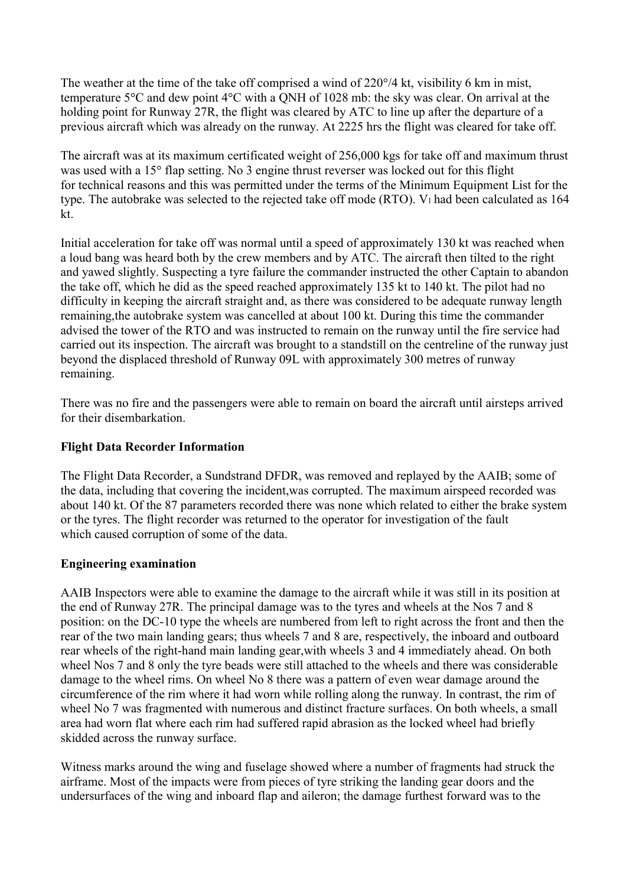The weather at the time of the take off comprised a wind of 220°/4 kt, visibility 6 km in mist, temperature 5°C and dew point 4°C with a QNH of 1028 mb: the sky was clear. On arrival at the holding point for Runway 27R, the flight was cleared by ATC to line up after the departure of a previous aircraft which was already on the runway. At 2225 hrs the flight was cleared for take off.

The aircraft was at its maximum certificated weight of 256,000 kgs for take off and maximum thrust was used with a 15° flap setting. No 3 engine thrust reverser was locked out for this flight for technical reasons and this was permitted under the terms of the Minimum Equipment List for the type. The autobrake was selected to the rejected take off mode (RTO). V1 had been calculated as 164 kt.

Initial acceleration for take off was normal until a speed of approximately 130 kt was reached when a loud bang was heard both by the crew members and by ATC. The aircraft then tilted to the right and yawed slightly. Suspecting a tyre failure the commander instructed the other Captain to abandon the take off, which he did as the speed reached approximately 135 kt to 140 kt. The pilot had no difficulty in keeping the aircraft straight and, as there was considered to be adequate runway length remaining,the autobrake system was cancelled at about 100 kt. During this time the commander advised the tower of the RTO and was instructed to remain on the runway until the fire service had carried out its inspection. The aircraft was brought to a standstill on the centreline of the runway just beyond the displaced threshold of Runway 09L with approximately 300 metres of runway remaining.

There was no fire and the passengers were able to remain on board the aircraft until airsteps arrived for their disembarkation.

# **Flight Data Recorder Information**

The Flight Data Recorder, a Sundstrand DFDR, was removed and replayed by the AAIB; some of the data, including that covering the incident,was corrupted. The maximum airspeed recorded was about 140 kt. Of the 87 parameters recorded there was none which related to either the brake system or the tyres. The flight recorder was returned to the operator for investigation of the fault which caused corruption of some of the data.

# **Engineering examination**

AAIB Inspectors were able to examine the damage to the aircraft while it was still in its position at the end of Runway 27R. The principal damage was to the tyres and wheels at the Nos 7 and 8 position: on the DC-10 type the wheels are numbered from left to right across the front and then the rear of the two main landing gears; thus wheels 7 and 8 are, respectively, the inboard and outboard rear wheels of the right-hand main landing gear,with wheels 3 and 4 immediately ahead. On both wheel Nos 7 and 8 only the tyre beads were still attached to the wheels and there was considerable damage to the wheel rims. On wheel No 8 there was a pattern of even wear damage around the circumference of the rim where it had worn while rolling along the runway. In contrast, the rim of wheel No 7 was fragmented with numerous and distinct fracture surfaces. On both wheels, a small area had worn flat where each rim had suffered rapid abrasion as the locked wheel had briefly skidded across the runway surface.

Witness marks around the wing and fuselage showed where a number of fragments had struck the airframe. Most of the impacts were from pieces of tyre striking the landing gear doors and the undersurfaces of the wing and inboard flap and aileron; the damage furthest forward was to the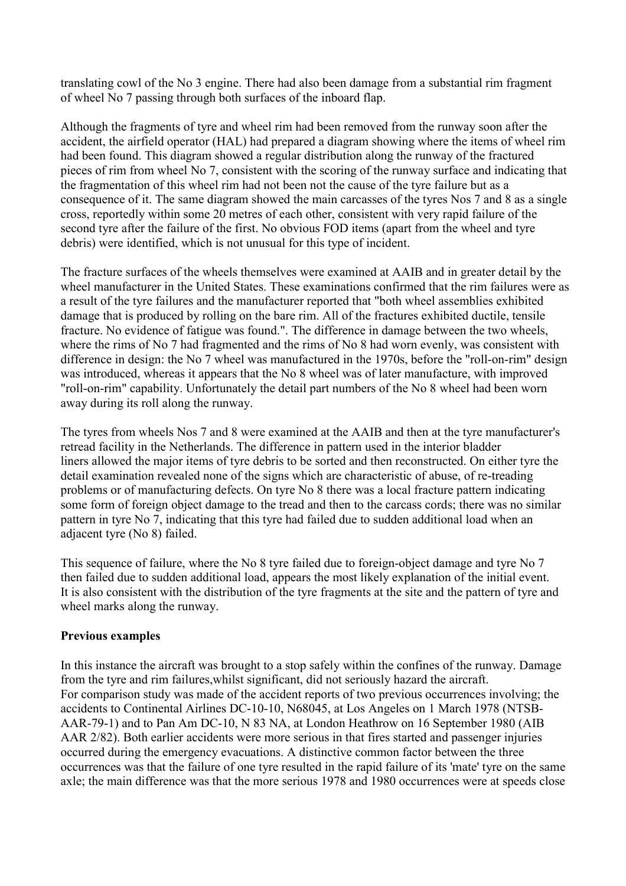translating cowl of the No 3 engine. There had also been damage from a substantial rim fragment of wheel No 7 passing through both surfaces of the inboard flap.

Although the fragments of tyre and wheel rim had been removed from the runway soon after the accident, the airfield operator (HAL) had prepared a diagram showing where the items of wheel rim had been found. This diagram showed a regular distribution along the runway of the fractured pieces of rim from wheel No 7, consistent with the scoring of the runway surface and indicating that the fragmentation of this wheel rim had not been not the cause of the tyre failure but as a consequence of it. The same diagram showed the main carcasses of the tyres Nos 7 and 8 as a single cross, reportedly within some 20 metres of each other, consistent with very rapid failure of the second tyre after the failure of the first. No obvious FOD items (apart from the wheel and tyre debris) were identified, which is not unusual for this type of incident.

The fracture surfaces of the wheels themselves were examined at AAIB and in greater detail by the wheel manufacturer in the United States. These examinations confirmed that the rim failures were as a result of the tyre failures and the manufacturer reported that "both wheel assemblies exhibited damage that is produced by rolling on the bare rim. All of the fractures exhibited ductile, tensile fracture. No evidence of fatigue was found.". The difference in damage between the two wheels, where the rims of No 7 had fragmented and the rims of No 8 had worn evenly, was consistent with difference in design: the No 7 wheel was manufactured in the 1970s, before the "roll-on-rim" design was introduced, whereas it appears that the No 8 wheel was of later manufacture, with improved "roll-on-rim" capability. Unfortunately the detail part numbers of the No 8 wheel had been worn away during its roll along the runway.

The tyres from wheels Nos 7 and 8 were examined at the AAIB and then at the tyre manufacturer's retread facility in the Netherlands. The difference in pattern used in the interior bladder liners allowed the major items of tyre debris to be sorted and then reconstructed. On either tyre the detail examination revealed none of the signs which are characteristic of abuse, of re-treading problems or of manufacturing defects. On tyre No 8 there was a local fracture pattern indicating some form of foreign object damage to the tread and then to the carcass cords; there was no similar pattern in tyre No 7, indicating that this tyre had failed due to sudden additional load when an adjacent tyre (No 8) failed.

This sequence of failure, where the No 8 tyre failed due to foreign-object damage and tyre No 7 then failed due to sudden additional load, appears the most likely explanation of the initial event. It is also consistent with the distribution of the tyre fragments at the site and the pattern of tyre and wheel marks along the runway.

# **Previous examples**

In this instance the aircraft was brought to a stop safely within the confines of the runway. Damage from the tyre and rim failures,whilst significant, did not seriously hazard the aircraft. For comparison study was made of the accident reports of two previous occurrences involving; the accidents to Continental Airlines DC-10-10, N68045, at Los Angeles on 1 March 1978 (NTSB-AAR-79-1) and to Pan Am DC-10, N 83 NA, at London Heathrow on 16 September 1980 (AIB AAR 2/82). Both earlier accidents were more serious in that fires started and passenger injuries occurred during the emergency evacuations. A distinctive common factor between the three occurrences was that the failure of one tyre resulted in the rapid failure of its 'mate' tyre on the same axle; the main difference was that the more serious 1978 and 1980 occurrences were at speeds close